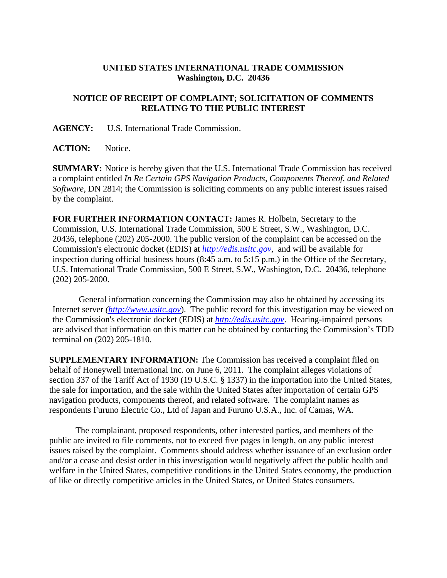## **UNITED STATES INTERNATIONAL TRADE COMMISSION Washington, D.C. 20436**

## **NOTICE OF RECEIPT OF COMPLAINT; SOLICITATION OF COMMENTS RELATING TO THE PUBLIC INTEREST**

**AGENCY:** U.S. International Trade Commission.

**ACTION:** Notice.

**SUMMARY:** Notice is hereby given that the U.S. International Trade Commission has received a complaint entitled *In Re Certain GPS Navigation Products, Components Thereof, and Related Software*, DN 2814; the Commission is soliciting comments on any public interest issues raised by the complaint.

**FOR FURTHER INFORMATION CONTACT:** James R. Holbein, Secretary to the Commission, U.S. International Trade Commission, 500 E Street, S.W., Washington, D.C. 20436, telephone (202) 205-2000. The public version of the complaint can be accessed on the Commission's electronic docket (EDIS) at *http://edis.usitc.gov*,and will be available for inspection during official business hours (8:45 a.m. to 5:15 p.m.) in the Office of the Secretary, U.S. International Trade Commission, 500 E Street, S.W., Washington, D.C. 20436, telephone (202) 205-2000.

General information concerning the Commission may also be obtained by accessing its Internet server *(http://www.usitc.gov*). The public record for this investigation may be viewed on the Commission's electronic docket (EDIS) at *http://edis.usitc.gov*. Hearing-impaired persons are advised that information on this matter can be obtained by contacting the Commission's TDD terminal on (202) 205-1810.

**SUPPLEMENTARY INFORMATION:** The Commission has received a complaint filed on behalf of Honeywell International Inc. on June 6, 2011. The complaint alleges violations of section 337 of the Tariff Act of 1930 (19 U.S.C. § 1337) in the importation into the United States, the sale for importation, and the sale within the United States after importation of certain GPS navigation products, components thereof, and related software. The complaint names as respondents Furuno Electric Co., Ltd of Japan and Furuno U.S.A., Inc. of Camas, WA.

The complainant, proposed respondents, other interested parties, and members of the public are invited to file comments, not to exceed five pages in length, on any public interest issues raised by the complaint. Comments should address whether issuance of an exclusion order and/or a cease and desist order in this investigation would negatively affect the public health and welfare in the United States, competitive conditions in the United States economy, the production of like or directly competitive articles in the United States, or United States consumers.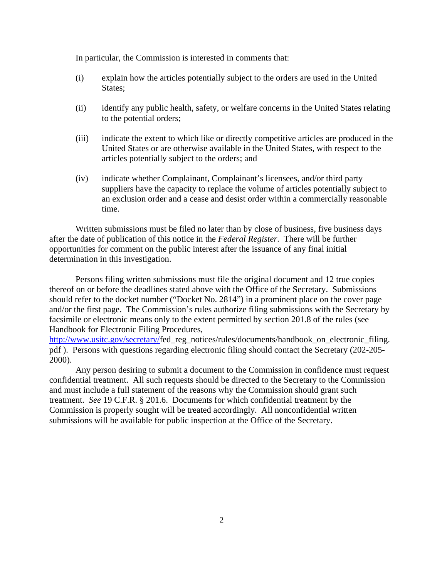In particular, the Commission is interested in comments that:

- (i) explain how the articles potentially subject to the orders are used in the United States;
- (ii) identify any public health, safety, or welfare concerns in the United States relating to the potential orders;
- (iii) indicate the extent to which like or directly competitive articles are produced in the United States or are otherwise available in the United States, with respect to the articles potentially subject to the orders; and
- (iv) indicate whether Complainant, Complainant's licensees, and/or third party suppliers have the capacity to replace the volume of articles potentially subject to an exclusion order and a cease and desist order within a commercially reasonable time.

 Written submissions must be filed no later than by close of business, five business days after the date of publication of this notice in the *Federal Register*. There will be further opportunities for comment on the public interest after the issuance of any final initial determination in this investigation.

 Persons filing written submissions must file the original document and 12 true copies thereof on or before the deadlines stated above with the Office of the Secretary. Submissions should refer to the docket number ("Docket No. 2814") in a prominent place on the cover page and/or the first page. The Commission's rules authorize filing submissions with the Secretary by facsimile or electronic means only to the extent permitted by section 201.8 of the rules (see Handbook for Electronic Filing Procedures,

http://www.usitc.gov/secretary/fed\_reg\_notices/rules/documents/handbook\_on\_electronic\_filing. pdf ). Persons with questions regarding electronic filing should contact the Secretary (202-205- 2000).

Any person desiring to submit a document to the Commission in confidence must request confidential treatment. All such requests should be directed to the Secretary to the Commission and must include a full statement of the reasons why the Commission should grant such treatment. *See* 19 C.F.R. § 201.6. Documents for which confidential treatment by the Commission is properly sought will be treated accordingly. All nonconfidential written submissions will be available for public inspection at the Office of the Secretary.